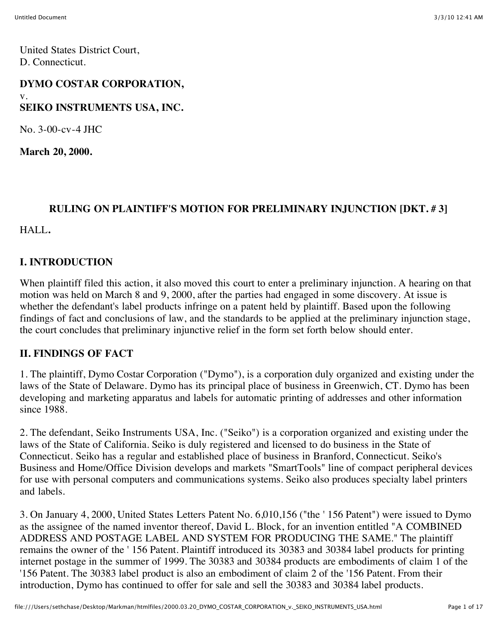United States District Court, D. Connecticut.

# **DYMO COSTAR CORPORATION,** v. **SEIKO INSTRUMENTS USA, INC.**

No. 3-00-cv-4 JHC

**March 20, 2000.**

# **RULING ON PLAINTIFF'S MOTION FOR PRELIMINARY INJUNCTION [DKT. # 3]**

HALL**.**

### **I. INTRODUCTION**

When plaintiff filed this action, it also moved this court to enter a preliminary injunction. A hearing on that motion was held on March 8 and 9, 2000, after the parties had engaged in some discovery. At issue is whether the defendant's label products infringe on a patent held by plaintiff. Based upon the following findings of fact and conclusions of law, and the standards to be applied at the preliminary injunction stage, the court concludes that preliminary injunctive relief in the form set forth below should enter.

### **II. FINDINGS OF FACT**

1. The plaintiff, Dymo Costar Corporation ("Dymo"), is a corporation duly organized and existing under the laws of the State of Delaware. Dymo has its principal place of business in Greenwich, CT. Dymo has been developing and marketing apparatus and labels for automatic printing of addresses and other information since 1988.

2. The defendant, Seiko Instruments USA, Inc. ("Seiko") is a corporation organized and existing under the laws of the State of California. Seiko is duly registered and licensed to do business in the State of Connecticut. Seiko has a regular and established place of business in Branford, Connecticut. Seiko's Business and Home/Office Division develops and markets "SmartTools" line of compact peripheral devices for use with personal computers and communications systems. Seiko also produces specialty label printers and labels.

3. On January 4, 2000, United States Letters Patent No. 6,010,156 ("the ' 156 Patent") were issued to Dymo as the assignee of the named inventor thereof, David L. Block, for an invention entitled "A COMBINED ADDRESS AND POSTAGE LABEL AND SYSTEM FOR PRODUCING THE SAME." The plaintiff remains the owner of the ' 156 Patent. Plaintiff introduced its 30383 and 30384 label products for printing internet postage in the summer of 1999. The 30383 and 30384 products are embodiments of claim 1 of the '156 Patent. The 30383 label product is also an embodiment of claim 2 of the '156 Patent. From their introduction, Dymo has continued to offer for sale and sell the 30383 and 30384 label products.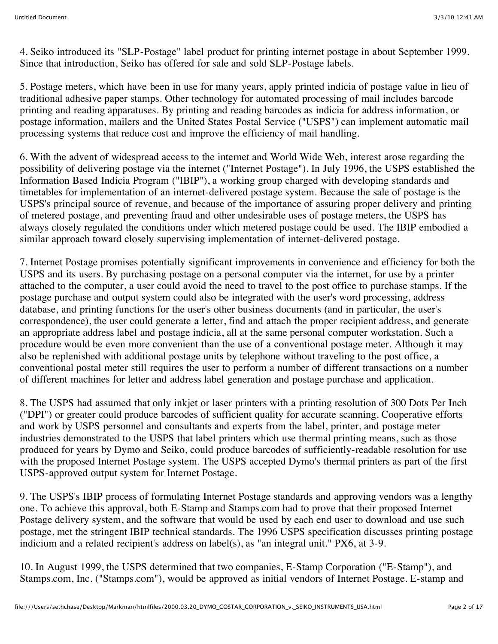4. Seiko introduced its "SLP-Postage" label product for printing internet postage in about September 1999. Since that introduction, Seiko has offered for sale and sold SLP-Postage labels.

5. Postage meters, which have been in use for many years, apply printed indicia of postage value in lieu of traditional adhesive paper stamps. Other technology for automated processing of mail includes barcode printing and reading apparatuses. By printing and reading barcodes as indicia for address information, or postage information, mailers and the United States Postal Service ("USPS") can implement automatic mail processing systems that reduce cost and improve the efficiency of mail handling.

6. With the advent of widespread access to the internet and World Wide Web, interest arose regarding the possibility of delivering postage via the internet ("Internet Postage"). In July 1996, the USPS established the Information Based Indicia Program ("IBIP"), a working group charged with developing standards and timetables for implementation of an internet-delivered postage system. Because the sale of postage is the USPS's principal source of revenue, and because of the importance of assuring proper delivery and printing of metered postage, and preventing fraud and other undesirable uses of postage meters, the USPS has always closely regulated the conditions under which metered postage could be used. The IBIP embodied a similar approach toward closely supervising implementation of internet-delivered postage.

7. Internet Postage promises potentially significant improvements in convenience and efficiency for both the USPS and its users. By purchasing postage on a personal computer via the internet, for use by a printer attached to the computer, a user could avoid the need to travel to the post office to purchase stamps. If the postage purchase and output system could also be integrated with the user's word processing, address database, and printing functions for the user's other business documents (and in particular, the user's correspondence), the user could generate a letter, find and attach the proper recipient address, and generate an appropriate address label and postage indicia, all at the same personal computer workstation. Such a procedure would be even more convenient than the use of a conventional postage meter. Although it may also be replenished with additional postage units by telephone without traveling to the post office, a conventional postal meter still requires the user to perform a number of different transactions on a number of different machines for letter and address label generation and postage purchase and application.

8. The USPS had assumed that only inkjet or laser printers with a printing resolution of 300 Dots Per Inch ("DPI") or greater could produce barcodes of sufficient quality for accurate scanning. Cooperative efforts and work by USPS personnel and consultants and experts from the label, printer, and postage meter industries demonstrated to the USPS that label printers which use thermal printing means, such as those produced for years by Dymo and Seiko, could produce barcodes of sufficiently-readable resolution for use with the proposed Internet Postage system. The USPS accepted Dymo's thermal printers as part of the first USPS-approved output system for Internet Postage.

9. The USPS's IBIP process of formulating Internet Postage standards and approving vendors was a lengthy one. To achieve this approval, both E-Stamp and Stamps.com had to prove that their proposed Internet Postage delivery system, and the software that would be used by each end user to download and use such postage, met the stringent IBIP technical standards. The 1996 USPS specification discusses printing postage indicium and a related recipient's address on label(s), as "an integral unit." PX6, at 3-9.

10. In August 1999, the USPS determined that two companies, E-Stamp Corporation ("E-Stamp"), and Stamps.com, Inc. ("Stamps.com"), would be approved as initial vendors of Internet Postage. E-stamp and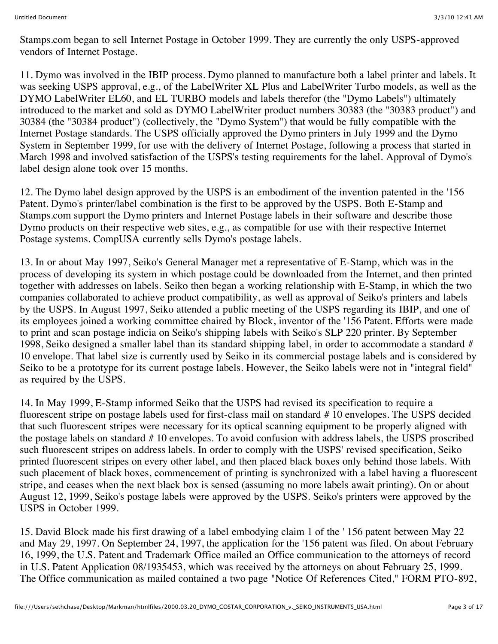Stamps.com began to sell Internet Postage in October 1999. They are currently the only USPS-approved vendors of Internet Postage.

11. Dymo was involved in the IBIP process. Dymo planned to manufacture both a label printer and labels. It was seeking USPS approval, e.g., of the LabelWriter XL Plus and LabelWriter Turbo models, as well as the DYMO LabelWriter EL60, and EL TURBO models and labels therefor (the "Dymo Labels") ultimately introduced to the market and sold as DYMO LabelWriter product numbers 30383 (the "30383 product") and 30384 (the "30384 product") (collectively, the "Dymo System") that would be fully compatible with the Internet Postage standards. The USPS officially approved the Dymo printers in July 1999 and the Dymo System in September 1999, for use with the delivery of Internet Postage, following a process that started in March 1998 and involved satisfaction of the USPS's testing requirements for the label. Approval of Dymo's label design alone took over 15 months.

12. The Dymo label design approved by the USPS is an embodiment of the invention patented in the '156 Patent. Dymo's printer/label combination is the first to be approved by the USPS. Both E-Stamp and Stamps.com support the Dymo printers and Internet Postage labels in their software and describe those Dymo products on their respective web sites, e.g., as compatible for use with their respective Internet Postage systems. CompUSA currently sells Dymo's postage labels.

13. In or about May 1997, Seiko's General Manager met a representative of E-Stamp, which was in the process of developing its system in which postage could be downloaded from the Internet, and then printed together with addresses on labels. Seiko then began a working relationship with E-Stamp, in which the two companies collaborated to achieve product compatibility, as well as approval of Seiko's printers and labels by the USPS. In August 1997, Seiko attended a public meeting of the USPS regarding its IBIP, and one of its employees joined a working committee chaired by Block, inventor of the '156 Patent. Efforts were made to print and scan postage indicia on Seiko's shipping labels with Seiko's SLP 220 printer. By September 1998, Seiko designed a smaller label than its standard shipping label, in order to accommodate a standard # 10 envelope. That label size is currently used by Seiko in its commercial postage labels and is considered by Seiko to be a prototype for its current postage labels. However, the Seiko labels were not in "integral field" as required by the USPS.

14. In May 1999, E-Stamp informed Seiko that the USPS had revised its specification to require a fluorescent stripe on postage labels used for first-class mail on standard # 10 envelopes. The USPS decided that such fluorescent stripes were necessary for its optical scanning equipment to be properly aligned with the postage labels on standard # 10 envelopes. To avoid confusion with address labels, the USPS proscribed such fluorescent stripes on address labels. In order to comply with the USPS' revised specification, Seiko printed fluorescent stripes on every other label, and then placed black boxes only behind those labels. With such placement of black boxes, commencement of printing is synchronized with a label having a fluorescent stripe, and ceases when the next black box is sensed (assuming no more labels await printing). On or about August 12, 1999, Seiko's postage labels were approved by the USPS. Seiko's printers were approved by the USPS in October 1999.

15. David Block made his first drawing of a label embodying claim 1 of the ' 156 patent between May 22 and May 29, 1997. On September 24, 1997, the application for the '156 patent was filed. On about February 16, 1999, the U.S. Patent and Trademark Office mailed an Office communication to the attorneys of record in U.S. Patent Application 08/1935453, which was received by the attorneys on about February 25, 1999. The Office communication as mailed contained a two page "Notice Of References Cited," FORM PTO-892,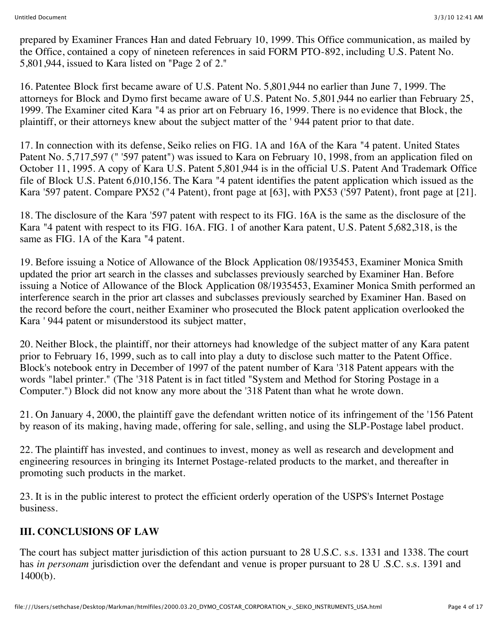prepared by Examiner Frances Han and dated February 10, 1999. This Office communication, as mailed by the Office, contained a copy of nineteen references in said FORM PTO-892, including U.S. Patent No. 5,801,944, issued to Kara listed on "Page 2 of 2."

16. Patentee Block first became aware of U.S. Patent No. 5,801,944 no earlier than June 7, 1999. The attorneys for Block and Dymo first became aware of U.S. Patent No. 5,801,944 no earlier than February 25, 1999. The Examiner cited Kara "4 as prior art on February 16, 1999. There is no evidence that Block, the plaintiff, or their attorneys knew about the subject matter of the ' 944 patent prior to that date.

17. In connection with its defense, Seiko relies on FIG. 1A and 16A of the Kara "4 patent. United States Patent No. 5,717,597 (" '597 patent") was issued to Kara on February 10, 1998, from an application filed on October 11, 1995. A copy of Kara U.S. Patent 5,801,944 is in the official U.S. Patent And Trademark Office file of Block U.S. Patent 6,010,156. The Kara "4 patent identifies the patent application which issued as the Kara '597 patent. Compare PX52 ("4 Patent), front page at [63], with PX53 ('597 Patent), front page at [21].

18. The disclosure of the Kara '597 patent with respect to its FIG. 16A is the same as the disclosure of the Kara "4 patent with respect to its FIG. 16A. FIG. 1 of another Kara patent, U.S. Patent 5,682,318, is the same as FIG. 1A of the Kara "4 patent.

19. Before issuing a Notice of Allowance of the Block Application 08/1935453, Examiner Monica Smith updated the prior art search in the classes and subclasses previously searched by Examiner Han. Before issuing a Notice of Allowance of the Block Application 08/1935453, Examiner Monica Smith performed an interference search in the prior art classes and subclasses previously searched by Examiner Han. Based on the record before the court, neither Examiner who prosecuted the Block patent application overlooked the Kara ' 944 patent or misunderstood its subject matter,

20. Neither Block, the plaintiff, nor their attorneys had knowledge of the subject matter of any Kara patent prior to February 16, 1999, such as to call into play a duty to disclose such matter to the Patent Office. Block's notebook entry in December of 1997 of the patent number of Kara '318 Patent appears with the words "label printer." (The '318 Patent is in fact titled "System and Method for Storing Postage in a Computer.") Block did not know any more about the '318 Patent than what he wrote down.

21. On January 4, 2000, the plaintiff gave the defendant written notice of its infringement of the '156 Patent by reason of its making, having made, offering for sale, selling, and using the SLP-Postage label product.

22. The plaintiff has invested, and continues to invest, money as well as research and development and engineering resources in bringing its Internet Postage-related products to the market, and thereafter in promoting such products in the market.

23. It is in the public interest to protect the efficient orderly operation of the USPS's Internet Postage business.

### **III. CONCLUSIONS OF LAW**

The court has subject matter jurisdiction of this action pursuant to 28 U.S.C. s.s. 1331 and 1338. The court has *in personam* jurisdiction over the defendant and venue is proper pursuant to 28 U .S.C. s.s. 1391 and 1400(b).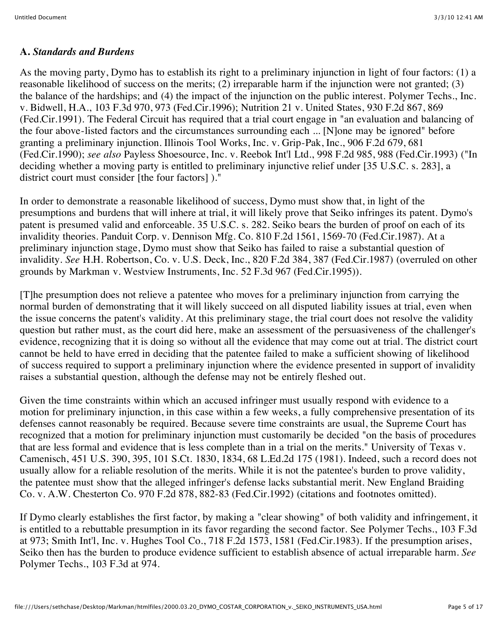#### **A.** *Standards and Burdens*

As the moving party, Dymo has to establish its right to a preliminary injunction in light of four factors: (1) a reasonable likelihood of success on the merits; (2) irreparable harm if the injunction were not granted; (3) the balance of the hardships; and (4) the impact of the injunction on the public interest. Polymer Techs., Inc. v. Bidwell, H.A., 103 F.3d 970, 973 (Fed.Cir.1996); Nutrition 21 v. United States, 930 F.2d 867, 869 (Fed.Cir.1991). The Federal Circuit has required that a trial court engage in "an evaluation and balancing of the four above-listed factors and the circumstances surrounding each ... [N]one may be ignored" before granting a preliminary injunction. Illinois Tool Works, Inc. v. Grip-Pak, Inc., 906 F.2d 679, 681 (Fed.Cir.1990); *see also* Payless Shoesource, Inc. v. Reebok Int'l Ltd., 998 F.2d 985, 988 (Fed.Cir.1993) ("In deciding whether a moving party is entitled to preliminary injunctive relief under [35 U.S.C. s. 283], a district court must consider [the four factors] )."

In order to demonstrate a reasonable likelihood of success, Dymo must show that, in light of the presumptions and burdens that will inhere at trial, it will likely prove that Seiko infringes its patent. Dymo's patent is presumed valid and enforceable. 35 U.S.C. s. 282. Seiko bears the burden of proof on each of its invalidity theories. Panduit Corp. v. Dennison Mfg. Co. 810 F.2d 1561, 1569-70 (Fed.Cir.1987). At a preliminary injunction stage, Dymo must show that Seiko has failed to raise a substantial question of invalidity. *See* H.H. Robertson, Co. v. U.S. Deck, Inc., 820 F.2d 384, 387 (Fed.Cir.1987) (overruled on other grounds by Markman v. Westview Instruments, Inc. 52 F.3d 967 (Fed.Cir.1995)).

[T]he presumption does not relieve a patentee who moves for a preliminary injunction from carrying the normal burden of demonstrating that it will likely succeed on all disputed liability issues at trial, even when the issue concerns the patent's validity. At this preliminary stage, the trial court does not resolve the validity question but rather must, as the court did here, make an assessment of the persuasiveness of the challenger's evidence, recognizing that it is doing so without all the evidence that may come out at trial. The district court cannot be held to have erred in deciding that the patentee failed to make a sufficient showing of likelihood of success required to support a preliminary injunction where the evidence presented in support of invalidity raises a substantial question, although the defense may not be entirely fleshed out.

Given the time constraints within which an accused infringer must usually respond with evidence to a motion for preliminary injunction, in this case within a few weeks, a fully comprehensive presentation of its defenses cannot reasonably be required. Because severe time constraints are usual, the Supreme Court has recognized that a motion for preliminary injunction must customarily be decided "on the basis of procedures that are less formal and evidence that is less complete than in a trial on the merits." University of Texas v. Camenisch, 451 U.S. 390, 395, 101 S.Ct. 1830, 1834, 68 L.Ed.2d 175 (1981). Indeed, such a record does not usually allow for a reliable resolution of the merits. While it is not the patentee's burden to prove validity, the patentee must show that the alleged infringer's defense lacks substantial merit. New England Braiding Co. v. A.W. Chesterton Co. 970 F.2d 878, 882-83 (Fed.Cir.1992) (citations and footnotes omitted).

If Dymo clearly establishes the first factor, by making a "clear showing" of both validity and infringement, it is entitled to a rebuttable presumption in its favor regarding the second factor. See Polymer Techs., 103 F.3d at 973; Smith Int'l, Inc. v. Hughes Tool Co., 718 F.2d 1573, 1581 (Fed.Cir.1983). If the presumption arises, Seiko then has the burden to produce evidence sufficient to establish absence of actual irreparable harm. *See* Polymer Techs., 103 F.3d at 974.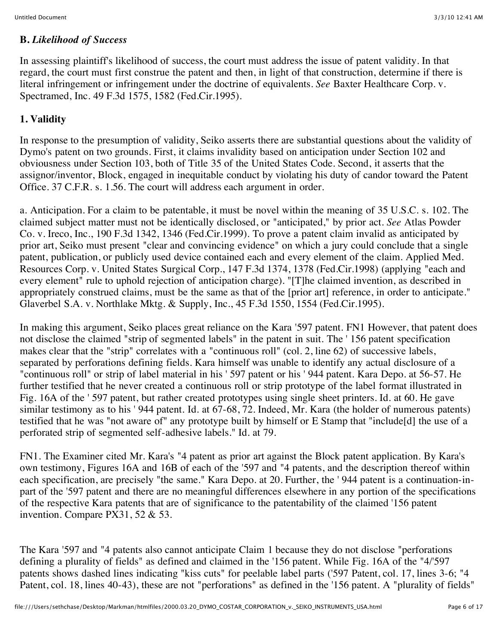#### **B.** *Likelihood of Success*

In assessing plaintiff's likelihood of success, the court must address the issue of patent validity. In that regard, the court must first construe the patent and then, in light of that construction, determine if there is literal infringement or infringement under the doctrine of equivalents. *See* Baxter Healthcare Corp. v. Spectramed, Inc. 49 F.3d 1575, 1582 (Fed.Cir.1995).

## **1. Validity**

In response to the presumption of validity, Seiko asserts there are substantial questions about the validity of Dymo's patent on two grounds. First, it claims invalidity based on anticipation under Section 102 and obviousness under Section 103, both of Title 35 of the United States Code. Second, it asserts that the assignor/inventor, Block, engaged in inequitable conduct by violating his duty of candor toward the Patent Office. 37 C.F.R. s. 1.56. The court will address each argument in order.

a. Anticipation. For a claim to be patentable, it must be novel within the meaning of 35 U.S.C. s. 102. The claimed subject matter must not be identically disclosed, or "anticipated," by prior act. *See* Atlas Powder Co. v. Ireco, Inc., 190 F.3d 1342, 1346 (Fed.Cir.1999). To prove a patent claim invalid as anticipated by prior art, Seiko must present "clear and convincing evidence" on which a jury could conclude that a single patent, publication, or publicly used device contained each and every element of the claim. Applied Med. Resources Corp. v. United States Surgical Corp., 147 F.3d 1374, 1378 (Fed.Cir.1998) (applying "each and every element" rule to uphold rejection of anticipation charge). "[T]he claimed invention, as described in appropriately construed claims, must be the same as that of the [prior art] reference, in order to anticipate." Glaverbel S.A. v. Northlake Mktg. & Supply, Inc., 45 F.3d 1550, 1554 (Fed.Cir.1995).

In making this argument, Seiko places great reliance on the Kara '597 patent. FN1 However, that patent does not disclose the claimed "strip of segmented labels" in the patent in suit. The ' 156 patent specification makes clear that the "strip" correlates with a "continuous roll" (col. 2, line 62) of successive labels, separated by perforations defining fields. Kara himself was unable to identify any actual disclosure of a "continuous roll" or strip of label material in his ' 597 patent or his ' 944 patent. Kara Depo. at 56-57. He further testified that he never created a continuous roll or strip prototype of the label format illustrated in Fig. 16A of the ' 597 patent, but rather created prototypes using single sheet printers. Id. at 60. He gave similar testimony as to his ' 944 patent. Id. at 67-68, 72. Indeed, Mr. Kara (the holder of numerous patents) testified that he was "not aware of" any prototype built by himself or E Stamp that "include[d] the use of a perforated strip of segmented self-adhesive labels." Id. at 79.

FN1. The Examiner cited Mr. Kara's "4 patent as prior art against the Block patent application. By Kara's own testimony, Figures 16A and 16B of each of the '597 and "4 patents, and the description thereof within each specification, are precisely "the same." Kara Depo. at 20. Further, the ' 944 patent is a continuation-inpart of the '597 patent and there are no meaningful differences elsewhere in any portion of the specifications of the respective Kara patents that are of significance to the patentability of the claimed '156 patent invention. Compare PX31, 52 & 53.

The Kara '597 and "4 patents also cannot anticipate Claim 1 because they do not disclose "perforations defining a plurality of fields" as defined and claimed in the '156 patent. While Fig. 16A of the "4/'597 patents shows dashed lines indicating "kiss cuts" for peelable label parts ('597 Patent, col. 17, lines 3-6; "4 Patent, col. 18, lines 40-43), these are not "perforations" as defined in the '156 patent. A "plurality of fields"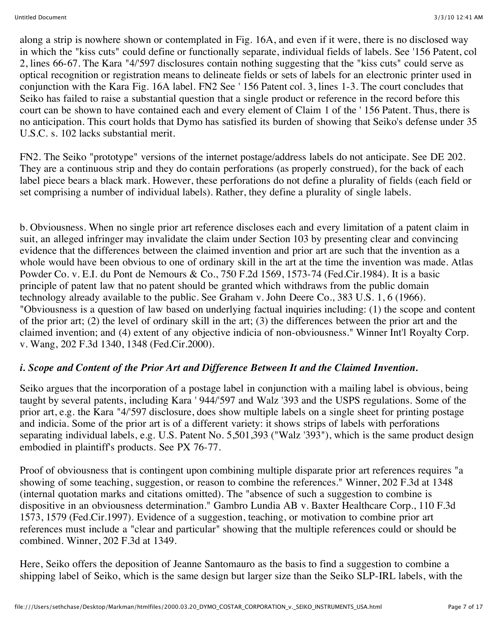along a strip is nowhere shown or contemplated in Fig. 16A, and even if it were, there is no disclosed way in which the "kiss cuts" could define or functionally separate, individual fields of labels. See '156 Patent, col 2, lines 66-67. The Kara "4/'597 disclosures contain nothing suggesting that the "kiss cuts" could serve as optical recognition or registration means to delineate fields or sets of labels for an electronic printer used in conjunction with the Kara Fig. 16A label. FN2 See ' 156 Patent col. 3, lines 1-3. The court concludes that Seiko has failed to raise a substantial question that a single product or reference in the record before this court can be shown to have contained each and every element of Claim 1 of the ' 156 Patent. Thus, there is no anticipation. This court holds that Dymo has satisfied its burden of showing that Seiko's defense under 35 U.S.C. s. 102 lacks substantial merit.

FN2. The Seiko "prototype" versions of the internet postage/address labels do not anticipate. See DE 202. They are a continuous strip and they do contain perforations (as properly construed), for the back of each label piece bears a black mark. However, these perforations do not define a plurality of fields (each field or set comprising a number of individual labels). Rather, they define a plurality of single labels.

b. Obviousness. When no single prior art reference discloses each and every limitation of a patent claim in suit, an alleged infringer may invalidate the claim under Section 103 by presenting clear and convincing evidence that the differences between the claimed invention and prior art are such that the invention as a whole would have been obvious to one of ordinary skill in the art at the time the invention was made. Atlas Powder Co. v. E.I. du Pont de Nemours & Co., 750 F.2d 1569, 1573-74 (Fed.Cir.1984). It is a basic principle of patent law that no patent should be granted which withdraws from the public domain technology already available to the public. See Graham v. John Deere Co., 383 U.S. 1, 6 (1966). "Obviousness is a question of law based on underlying factual inquiries including: (1) the scope and content of the prior art; (2) the level of ordinary skill in the art; (3) the differences between the prior art and the claimed invention; and (4) extent of any objective indicia of non-obviousness." Winner Int'l Royalty Corp. v. Wang, 202 F.3d 1340, 1348 (Fed.Cir.2000).

### *i. Scope and Content of the Prior Art and Difference Between It and the Claimed Invention.*

Seiko argues that the incorporation of a postage label in conjunction with a mailing label is obvious, being taught by several patents, including Kara ' 944/'597 and Walz '393 and the USPS regulations. Some of the prior art, e.g. the Kara "4/'597 disclosure, does show multiple labels on a single sheet for printing postage and indicia. Some of the prior art is of a different variety: it shows strips of labels with perforations separating individual labels, e.g. U.S. Patent No. 5,501,393 ("Walz '393"), which is the same product design embodied in plaintiff's products. See PX 76-77.

Proof of obviousness that is contingent upon combining multiple disparate prior art references requires "a showing of some teaching, suggestion, or reason to combine the references." Winner, 202 F.3d at 1348 (internal quotation marks and citations omitted). The "absence of such a suggestion to combine is dispositive in an obviousness determination." Gambro Lundia AB v. Baxter Healthcare Corp., 110 F.3d 1573, 1579 (Fed.Cir.1997). Evidence of a suggestion, teaching, or motivation to combine prior art references must include a "clear and particular" showing that the multiple references could or should be combined. Winner, 202 F.3d at 1349.

Here, Seiko offers the deposition of Jeanne Santomauro as the basis to find a suggestion to combine a shipping label of Seiko, which is the same design but larger size than the Seiko SLP-IRL labels, with the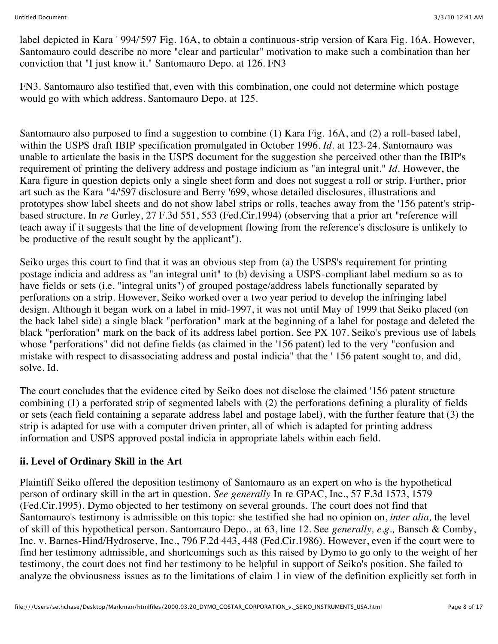label depicted in Kara ' 994/'597 Fig. 16A, to obtain a continuous-strip version of Kara Fig. 16A. However, Santomauro could describe no more "clear and particular" motivation to make such a combination than her conviction that "I just know it." Santomauro Depo. at 126. FN3

FN3. Santomauro also testified that, even with this combination, one could not determine which postage would go with which address. Santomauro Depo. at 125.

Santomauro also purposed to find a suggestion to combine (1) Kara Fig. 16A, and (2) a roll-based label, within the USPS draft IBIP specification promulgated in October 1996. *Id.* at 123-24. Santomauro was unable to articulate the basis in the USPS document for the suggestion she perceived other than the IBIP's requirement of printing the delivery address and postage indicium as "an integral unit." *Id.* However, the Kara figure in question depicts only a single sheet form and does not suggest a roll or strip. Further, prior art such as the Kara "4/'597 disclosure and Berry '699, whose detailed disclosures, illustrations and prototypes show label sheets and do not show label strips or rolls, teaches away from the '156 patent's stripbased structure. In *re* Gurley, 27 F.3d 551, 553 (Fed.Cir.1994) (observing that a prior art "reference will teach away if it suggests that the line of development flowing from the reference's disclosure is unlikely to be productive of the result sought by the applicant").

Seiko urges this court to find that it was an obvious step from (a) the USPS's requirement for printing postage indicia and address as "an integral unit" to (b) devising a USPS-compliant label medium so as to have fields or sets (i.e. "integral units") of grouped postage/address labels functionally separated by perforations on a strip. However, Seiko worked over a two year period to develop the infringing label design. Although it began work on a label in mid-1997, it was not until May of 1999 that Seiko placed (on the back label side) a single black "perforation" mark at the beginning of a label for postage and deleted the black "perforation" mark on the back of its address label portion. See PX 107. Seiko's previous use of labels whose "perforations" did not define fields (as claimed in the '156 patent) led to the very "confusion and mistake with respect to disassociating address and postal indicia" that the ' 156 patent sought to, and did, solve. Id.

The court concludes that the evidence cited by Seiko does not disclose the claimed '156 patent structure combining (1) a perforated strip of segmented labels with (2) the perforations defining a plurality of fields or sets (each field containing a separate address label and postage label), with the further feature that (3) the strip is adapted for use with a computer driven printer, all of which is adapted for printing address information and USPS approved postal indicia in appropriate labels within each field.

### **ii. Level of Ordinary Skill in the Art**

Plaintiff Seiko offered the deposition testimony of Santomauro as an expert on who is the hypothetical person of ordinary skill in the art in question. *See generally* In re GPAC, Inc., 57 F.3d 1573, 1579 (Fed.Cir.1995). Dymo objected to her testimony on several grounds. The court does not find that Santomauro's testimony is admissible on this topic: she testified she had no opinion on, *inter alia,* the level of skill of this hypothetical person. Santomauro Depo., at 63, line 12. See *generally, e.g.,* Bansch & Comby, Inc. v. Barnes-Hind/Hydroserve, Inc., 796 F.2d 443, 448 (Fed.Cir.1986). However, even if the court were to find her testimony admissible, and shortcomings such as this raised by Dymo to go only to the weight of her testimony, the court does not find her testimony to be helpful in support of Seiko's position. She failed to analyze the obviousness issues as to the limitations of claim 1 in view of the definition explicitly set forth in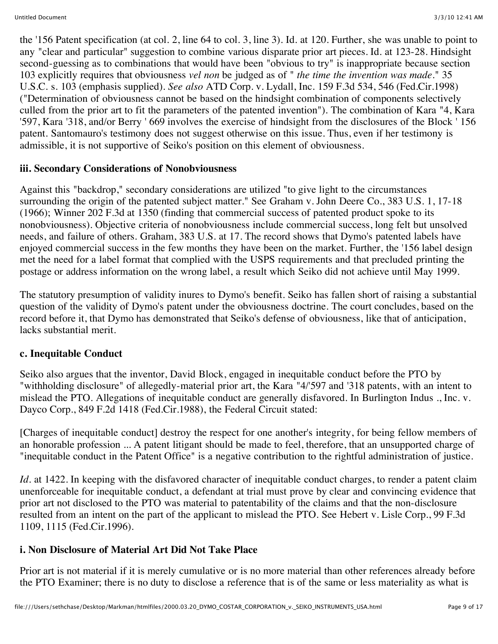the '156 Patent specification (at col. 2, line 64 to col. 3, line 3). Id. at 120. Further, she was unable to point to any "clear and particular" suggestion to combine various disparate prior art pieces. Id. at 123-28. Hindsight second-guessing as to combinations that would have been "obvious to try" is inappropriate because section 103 explicitly requires that obviousness *vel non* be judged as of " *the time the invention was made.*" 35 U.S.C. s. 103 (emphasis supplied). *See also* ATD Corp. v. Lydall, Inc. 159 F.3d 534, 546 (Fed.Cir.1998) ("Determination of obviousness cannot be based on the hindsight combination of components selectively culled from the prior art to fit the parameters of the patented invention"). The combination of Kara "4, Kara '597, Kara '318, and/or Berry ' 669 involves the exercise of hindsight from the disclosures of the Block ' 156 patent. Santomauro's testimony does not suggest otherwise on this issue. Thus, even if her testimony is admissible, it is not supportive of Seiko's position on this element of obviousness.

### **iii. Secondary Considerations of Nonobviousness**

Against this "backdrop," secondary considerations are utilized "to give light to the circumstances surrounding the origin of the patented subject matter." See Graham v. John Deere Co., 383 U.S. 1, 17-18 (1966); Winner 202 F.3d at 1350 (finding that commercial success of patented product spoke to its nonobviousness). Objective criteria of nonobviousness include commercial success, long felt but unsolved needs, and failure of others. Graham, 383 U.S. at 17. The record shows that Dymo's patented labels have enjoyed commercial success in the few months they have been on the market. Further, the '156 label design met the need for a label format that complied with the USPS requirements and that precluded printing the postage or address information on the wrong label, a result which Seiko did not achieve until May 1999.

The statutory presumption of validity inures to Dymo's benefit. Seiko has fallen short of raising a substantial question of the validity of Dymo's patent under the obviousness doctrine. The court concludes, based on the record before it, that Dymo has demonstrated that Seiko's defense of obviousness, like that of anticipation, lacks substantial merit.

### **c. Inequitable Conduct**

Seiko also argues that the inventor, David Block, engaged in inequitable conduct before the PTO by "withholding disclosure" of allegedly-material prior art, the Kara "4/'597 and '318 patents, with an intent to mislead the PTO. Allegations of inequitable conduct are generally disfavored. In Burlington Indus ., Inc. v. Dayco Corp., 849 F.2d 1418 (Fed.Cir.1988), the Federal Circuit stated:

[Charges of inequitable conduct] destroy the respect for one another's integrity, for being fellow members of an honorable profession ... A patent litigant should be made to feel, therefore, that an unsupported charge of "inequitable conduct in the Patent Office" is a negative contribution to the rightful administration of justice.

*Id.* at 1422. In keeping with the disfavored character of inequitable conduct charges, to render a patent claim unenforceable for inequitable conduct, a defendant at trial must prove by clear and convincing evidence that prior art not disclosed to the PTO was material to patentability of the claims and that the non-disclosure resulted from an intent on the part of the applicant to mislead the PTO. See Hebert v. Lisle Corp., 99 F.3d 1109, 1115 (Fed.Cir.1996).

### **i. Non Disclosure of Material Art Did Not Take Place**

Prior art is not material if it is merely cumulative or is no more material than other references already before the PTO Examiner; there is no duty to disclose a reference that is of the same or less materiality as what is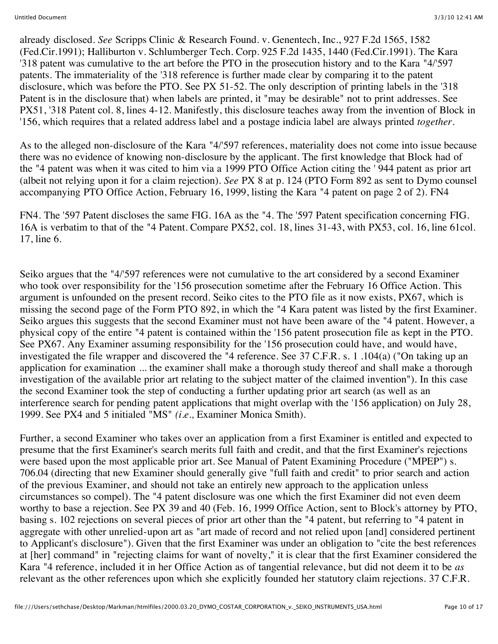already disclosed. *See* Scripps Clinic & Research Found. v. Genentech, Inc., 927 F.2d 1565, 1582 (Fed.Cir.1991); Halliburton v. Schlumberger Tech. Corp. 925 F.2d 1435, 1440 (Fed.Cir.1991). The Kara '318 patent was cumulative to the art before the PTO in the prosecution history and to the Kara "4/'597 patents. The immateriality of the '318 reference is further made clear by comparing it to the patent disclosure, which was before the PTO. See PX 51-52. The only description of printing labels in the '318 Patent is in the disclosure that) when labels are printed, it "may be desirable" not to print addresses. See PX51, '318 Patent col. 8, lines 4-12. Manifestly, this disclosure teaches away from the invention of Block in '156, which requires that a related address label and a postage indicia label are always printed *together.*

As to the alleged non-disclosure of the Kara "4/'597 references, materiality does not come into issue because there was no evidence of knowing non-disclosure by the applicant. The first knowledge that Block had of the "4 patent was when it was cited to him via a 1999 PTO Office Action citing the ' 944 patent as prior art (albeit not relying upon it for a claim rejection). *See* PX 8 at p. 124 (PTO Form 892 as sent to Dymo counsel accompanying PTO Office Action, February 16, 1999, listing the Kara "4 patent on page 2 of 2). FN4

FN4. The '597 Patent discloses the same FIG. 16A as the "4. The '597 Patent specification concerning FIG. 16A is verbatim to that of the "4 Patent. Compare PX52, col. 18, lines 31-43, with PX53, col. 16, line 61col. 17, line 6.

Seiko argues that the "4/'597 references were not cumulative to the art considered by a second Examiner who took over responsibility for the '156 prosecution sometime after the February 16 Office Action. This argument is unfounded on the present record. Seiko cites to the PTO file as it now exists, PX67, which is missing the second page of the Form PTO 892, in which the "4 Kara patent was listed by the first Examiner. Seiko argues this suggests that the second Examiner must not have been aware of the "4 patent. However, a physical copy of the entire "4 patent is contained within the '156 patent prosecution file as kept in the PTO. See PX67. Any Examiner assuming responsibility for the '156 prosecution could have, and would have, investigated the file wrapper and discovered the "4 reference. See 37 C.F.R. s. 1 .104(a) ("On taking up an application for examination ... the examiner shall make a thorough study thereof and shall make a thorough investigation of the available prior art relating to the subject matter of the claimed invention"). In this case the second Examiner took the step of conducting a further updating prior art search (as well as an interference search for pending patent applications that might overlap with the '156 application) on July 28, 1999. See PX4 and 5 initialed "MS" *(i.e.,* Examiner Monica Smith).

Further, a second Examiner who takes over an application from a first Examiner is entitled and expected to presume that the first Examiner's search merits full faith and credit, and that the first Examiner's rejections were based upon the most applicable prior art. See Manual of Patent Examining Procedure ("MPEP") s. 706.04 (directing that new Examiner should generally give "full faith and credit" to prior search and action of the previous Examiner, and should not take an entirely new approach to the application unless circumstances so compel). The "4 patent disclosure was one which the first Examiner did not even deem worthy to base a rejection. See PX 39 and 40 (Feb. 16, 1999 Office Action, sent to Block's attorney by PTO, basing s. 102 rejections on several pieces of prior art other than the "4 patent, but referring to "4 patent in aggregate with other unrelied-upon art as "art made of record and not relied upon [and] considered pertinent to Applicant's disclosure"). Given that the first Examiner was under an obligation to "cite the best references at [her] command" in "rejecting claims for want of novelty," it is clear that the first Examiner considered the Kara "4 reference, included it in her Office Action as of tangential relevance, but did not deem it to be *as* relevant as the other references upon which she explicitly founded her statutory claim rejections. 37 C.F.R.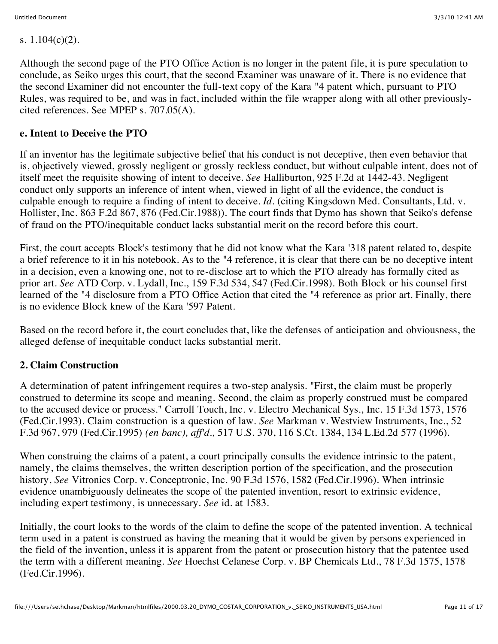s. 1.104(c)(2).

Although the second page of the PTO Office Action is no longer in the patent file, it is pure speculation to conclude, as Seiko urges this court, that the second Examiner was unaware of it. There is no evidence that the second Examiner did not encounter the full-text copy of the Kara "4 patent which, pursuant to PTO Rules, was required to be, and was in fact, included within the file wrapper along with all other previouslycited references. See MPEP s. 707.05(A).

#### **e. Intent to Deceive the PTO**

If an inventor has the legitimate subjective belief that his conduct is not deceptive, then even behavior that is, objectively viewed, grossly negligent or grossly reckless conduct, but without culpable intent, does not of itself meet the requisite showing of intent to deceive. *See* Halliburton, 925 F.2d at 1442-43. Negligent conduct only supports an inference of intent when, viewed in light of all the evidence, the conduct is culpable enough to require a finding of intent to deceive. *Id.* (citing Kingsdown Med. Consultants, Ltd. v. Hollister, Inc. 863 F.2d 867, 876 (Fed.Cir.1988)). The court finds that Dymo has shown that Seiko's defense of fraud on the PTO/inequitable conduct lacks substantial merit on the record before this court.

First, the court accepts Block's testimony that he did not know what the Kara '318 patent related to, despite a brief reference to it in his notebook. As to the "4 reference, it is clear that there can be no deceptive intent in a decision, even a knowing one, not to re-disclose art to which the PTO already has formally cited as prior art. *See* ATD Corp. v. Lydall, Inc., 159 F.3d 534, 547 (Fed.Cir.1998). Both Block or his counsel first learned of the "4 disclosure from a PTO Office Action that cited the "4 reference as prior art. Finally, there is no evidence Block knew of the Kara '597 Patent.

Based on the record before it, the court concludes that, like the defenses of anticipation and obviousness, the alleged defense of inequitable conduct lacks substantial merit.

### **2. Claim Construction**

A determination of patent infringement requires a two-step analysis. "First, the claim must be properly construed to determine its scope and meaning. Second, the claim as properly construed must be compared to the accused device or process." Carroll Touch, Inc. v. Electro Mechanical Sys., Inc. 15 F.3d 1573, 1576 (Fed.Cir.1993). Claim construction is a question of law. *See* Markman v. Westview Instruments, Inc., 52 F.3d 967, 979 (Fed.Cir.1995) *(en banc), aff'd.,* 517 U.S. 370, 116 S.Ct. 1384, 134 L.Ed.2d 577 (1996).

When construing the claims of a patent, a court principally consults the evidence intrinsic to the patent, namely, the claims themselves, the written description portion of the specification, and the prosecution history, *See* Vitronics Corp. v. Conceptronic, Inc. 90 F.3d 1576, 1582 (Fed.Cir.1996). When intrinsic evidence unambiguously delineates the scope of the patented invention, resort to extrinsic evidence, including expert testimony, is unnecessary. *See* id. at 1583.

Initially, the court looks to the words of the claim to define the scope of the patented invention. A technical term used in a patent is construed as having the meaning that it would be given by persons experienced in the field of the invention, unless it is apparent from the patent or prosecution history that the patentee used the term with a different meaning. *See* Hoechst Celanese Corp. v. BP Chemicals Ltd., 78 F.3d 1575, 1578 (Fed.Cir.1996).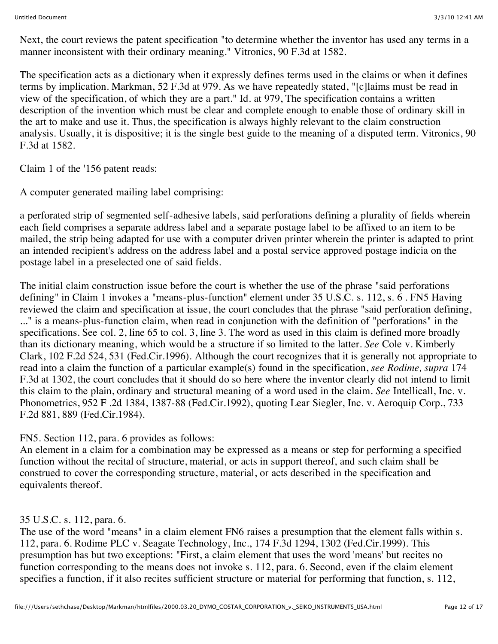Next, the court reviews the patent specification "to determine whether the inventor has used any terms in a manner inconsistent with their ordinary meaning." Vitronics, 90 F.3d at 1582.

The specification acts as a dictionary when it expressly defines terms used in the claims or when it defines terms by implication. Markman, 52 F.3d at 979. As we have repeatedly stated, "[c]laims must be read in view of the specification, of which they are a part." Id. at 979, The specification contains a written description of the invention which must be clear and complete enough to enable those of ordinary skill in the art to make and use it. Thus, the specification is always highly relevant to the claim construction analysis. Usually, it is dispositive; it is the single best guide to the meaning of a disputed term. Vitronics, 90 F.3d at 1582.

Claim 1 of the '156 patent reads:

A computer generated mailing label comprising:

a perforated strip of segmented self-adhesive labels, said perforations defining a plurality of fields wherein each field comprises a separate address label and a separate postage label to be affixed to an item to be mailed, the strip being adapted for use with a computer driven printer wherein the printer is adapted to print an intended recipient's address on the address label and a postal service approved postage indicia on the postage label in a preselected one of said fields.

The initial claim construction issue before the court is whether the use of the phrase "said perforations defining" in Claim 1 invokes a "means-plus-function" element under 35 U.S.C. s. 112, s. 6 . FN5 Having reviewed the claim and specification at issue, the court concludes that the phrase "said perforation defining, ..." is a means-plus-function claim, when read in conjunction with the definition of "perforations" in the specifications. See col. 2, line 65 to col. 3, line 3. The word as used in this claim is defined more broadly than its dictionary meaning, which would be a structure if so limited to the latter. *See* Cole v. Kimberly Clark, 102 F.2d 524, 531 (Fed.Cir.1996). Although the court recognizes that it is generally not appropriate to read into a claim the function of a particular example(s) found in the specification, *see Rodime, supra* 174 F.3d at 1302, the court concludes that it should do so here where the inventor clearly did not intend to limit this claim to the plain, ordinary and structural meaning of a word used in the claim. *See* Intellicall, Inc. v. Phonometrics, 952 F .2d 1384, 1387-88 (Fed.Cir.1992), quoting Lear Siegler, Inc. v. Aeroquip Corp., 733 F.2d 881, 889 (Fed.Cir.1984).

FN5. Section 112, para. 6 provides as follows:

An element in a claim for a combination may be expressed as a means or step for performing a specified function without the recital of structure, material, or acts in support thereof, and such claim shall be construed to cover the corresponding structure, material, or acts described in the specification and equivalents thereof.

### 35 U.S.C. s. 112, para. 6.

The use of the word "means" in a claim element FN6 raises a presumption that the element falls within s. 112, para. 6. Rodime PLC v. Seagate Technology, Inc., 174 F.3d 1294, 1302 (Fed.Cir.1999). This presumption has but two exceptions: "First, a claim element that uses the word 'means' but recites no function corresponding to the means does not invoke s. 112, para. 6. Second, even if the claim element specifies a function, if it also recites sufficient structure or material for performing that function, s. 112,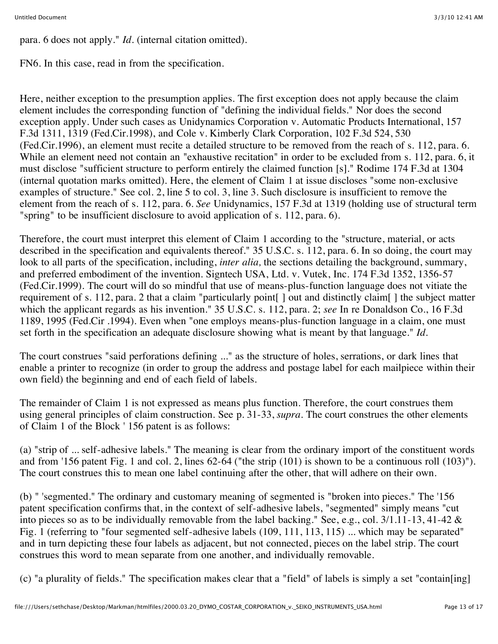para. 6 does not apply." *Id.* (internal citation omitted).

FN6. In this case, read in from the specification.

Here, neither exception to the presumption applies. The first exception does not apply because the claim element includes the corresponding function of "defining the individual fields." Nor does the second exception apply. Under such cases as Unidynamics Corporation v. Automatic Products International, 157 F.3d 1311, 1319 (Fed.Cir.1998), and Cole v. Kimberly Clark Corporation, 102 F.3d 524, 530 (Fed.Cir.1996), an element must recite a detailed structure to be removed from the reach of s. 112, para. 6. While an element need not contain an "exhaustive recitation" in order to be excluded from s. 112, para. 6, it must disclose "sufficient structure to perform entirely the claimed function [s]." Rodime 174 F.3d at 1304 (internal quotation marks omitted). Here, the element of Claim 1 at issue discloses "some non-exclusive examples of structure." See col. 2, line 5 to col. 3, line 3. Such disclosure is insufficient to remove the element from the reach of s. 112, para. 6. *See* Unidynamics, 157 F.3d at 1319 (holding use of structural term "spring" to be insufficient disclosure to avoid application of s. 112, para. 6).

Therefore, the court must interpret this element of Claim 1 according to the "structure, material, or acts described in the specification and equivalents thereof." 35 U.S.C. s. 112, para. 6. In so doing, the court may look to all parts of the specification, including, *inter alia*, the sections detailing the background, summary, and preferred embodiment of the invention. Signtech USA, Ltd. v. Vutek, Inc. 174 F.3d 1352, 1356-57 (Fed.Cir.1999). The court will do so mindful that use of means-plus-function language does not vitiate the requirement of s. 112, para. 2 that a claim "particularly point[ ] out and distinctly claim[ ] the subject matter which the applicant regards as his invention." 35 U.S.C. s. 112, para. 2; *see* In re Donaldson Co., 16 F.3d 1189, 1995 (Fed.Cir .1994). Even when "one employs means-plus-function language in a claim, one must set forth in the specification an adequate disclosure showing what is meant by that language." *Id.*

The court construes "said perforations defining ..." as the structure of holes, serrations, or dark lines that enable a printer to recognize (in order to group the address and postage label for each mailpiece within their own field) the beginning and end of each field of labels.

The remainder of Claim 1 is not expressed as means plus function. Therefore, the court construes them using general principles of claim construction. See p. 31-33, *supra.* The court construes the other elements of Claim 1 of the Block ' 156 patent is as follows:

(a) "strip of ... self-adhesive labels." The meaning is clear from the ordinary import of the constituent words and from '156 patent Fig. 1 and col. 2, lines 62-64 ("the strip (101) is shown to be a continuous roll (103)"). The court construes this to mean one label continuing after the other, that will adhere on their own.

(b) " 'segmented." The ordinary and customary meaning of segmented is "broken into pieces." The '156 patent specification confirms that, in the context of self-adhesive labels, "segmented" simply means "cut into pieces so as to be individually removable from the label backing." See, e.g., col. 3/1.11-13, 41-42 & Fig. 1 (referring to "four segmented self-adhesive labels (109, 111, 113, 115) ... which may be separated" and in turn depicting these four labels as adjacent, but not connected, pieces on the label strip. The court construes this word to mean separate from one another, and individually removable.

(c) "a plurality of fields." The specification makes clear that a "field" of labels is simply a set "contain[ing]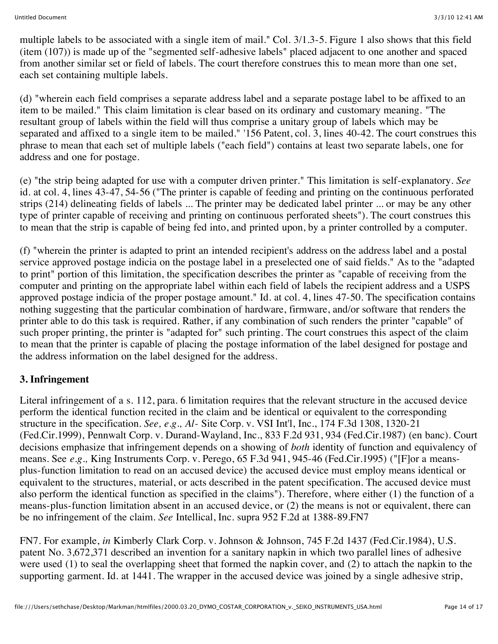multiple labels to be associated with a single item of mail." Col. 3/1.3-5. Figure 1 also shows that this field (item (107)) is made up of the "segmented self-adhesive labels" placed adjacent to one another and spaced from another similar set or field of labels. The court therefore construes this to mean more than one set, each set containing multiple labels.

(d) "wherein each field comprises a separate address label and a separate postage label to be affixed to an item to be mailed." This claim limitation is clear based on its ordinary and customary meaning. "The resultant group of labels within the field will thus comprise a unitary group of labels which may be separated and affixed to a single item to be mailed." '156 Patent, col. 3, lines 40-42. The court construes this phrase to mean that each set of multiple labels ("each field") contains at least two separate labels, one for address and one for postage.

(e) "the strip being adapted for use with a computer driven printer." This limitation is self-explanatory. *See* id. at col. 4, lines 43-47, 54-56 ("The printer is capable of feeding and printing on the continuous perforated strips (214) delineating fields of labels ... The printer may be dedicated label printer ... or may be any other type of printer capable of receiving and printing on continuous perforated sheets"). The court construes this to mean that the strip is capable of being fed into, and printed upon, by a printer controlled by a computer.

(f) "wherein the printer is adapted to print an intended recipient's address on the address label and a postal service approved postage indicia on the postage label in a preselected one of said fields." As to the "adapted to print" portion of this limitation, the specification describes the printer as "capable of receiving from the computer and printing on the appropriate label within each field of labels the recipient address and a USPS approved postage indicia of the proper postage amount." Id. at col. 4, lines 47-50. The specification contains nothing suggesting that the particular combination of hardware, firmware, and/or software that renders the printer able to do this task is required. Rather, if any combination of such renders the printer "capable" of such proper printing, the printer is "adapted for" such printing. The court construes this aspect of the claim to mean that the printer is capable of placing the postage information of the label designed for postage and the address information on the label designed for the address.

### **3. Infringement**

Literal infringement of a s. 112, para. 6 limitation requires that the relevant structure in the accused device perform the identical function recited in the claim and be identical or equivalent to the corresponding structure in the specification. *See, e.g., Al-* Site Corp. v. VSI Int'l, Inc., 174 F.3d 1308, 1320-21 (Fed.Cir.1999), Pennwalt Corp. v. Durand-Wayland, Inc., 833 F.2d 931, 934 (Fed.Cir.1987) (en banc). Court decisions emphasize that infringement depends on a showing of *both* identity of function and equivalency of means. See *e.g.,* King Instruments Corp. v. Perego, 65 F.3d 941, 945-46 (Fed.Cir.1995) ("[F]or a meansplus-function limitation to read on an accused device) the accused device must employ means identical or equivalent to the structures, material, or acts described in the patent specification. The accused device must also perform the identical function as specified in the claims"). Therefore, where either (1) the function of a means-plus-function limitation absent in an accused device, or (2) the means is not or equivalent, there can be no infringement of the claim. *See* Intellical, Inc. supra 952 F.2d at 1388-89.FN7

FN7. For example, *in* Kimberly Clark Corp. v. Johnson & Johnson, 745 F.2d 1437 (Fed.Cir.1984), U.S. patent No. 3,672,371 described an invention for a sanitary napkin in which two parallel lines of adhesive were used (1) to seal the overlapping sheet that formed the napkin cover, and (2) to attach the napkin to the supporting garment. Id. at 1441. The wrapper in the accused device was joined by a single adhesive strip,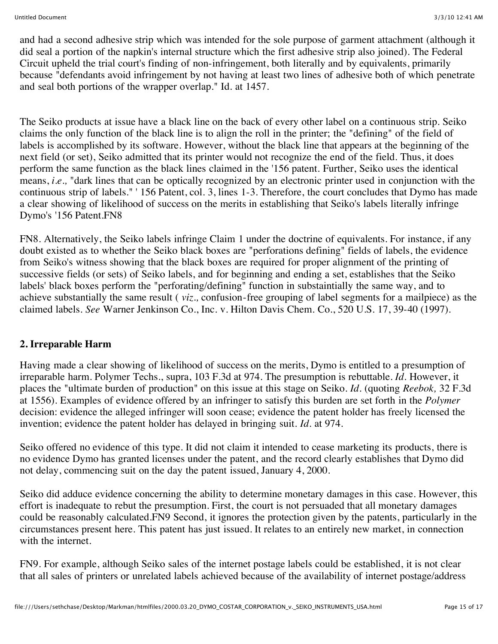and had a second adhesive strip which was intended for the sole purpose of garment attachment (although it did seal a portion of the napkin's internal structure which the first adhesive strip also joined). The Federal Circuit upheld the trial court's finding of non-infringement, both literally and by equivalents, primarily because "defendants avoid infringement by not having at least two lines of adhesive both of which penetrate and seal both portions of the wrapper overlap." Id. at 1457.

The Seiko products at issue have a black line on the back of every other label on a continuous strip. Seiko claims the only function of the black line is to align the roll in the printer; the "defining" of the field of labels is accomplished by its software. However, without the black line that appears at the beginning of the next field (or set), Seiko admitted that its printer would not recognize the end of the field. Thus, it does perform the same function as the black lines claimed in the '156 patent. Further, Seiko uses the identical means, *i.e.,* "dark lines that can be optically recognized by an electronic printer used in conjunction with the continuous strip of labels." ' 156 Patent, col. 3, lines 1-3. Therefore, the court concludes that Dymo has made a clear showing of likelihood of success on the merits in establishing that Seiko's labels literally infringe Dymo's '156 Patent.FN8

FN8. Alternatively, the Seiko labels infringe Claim 1 under the doctrine of equivalents. For instance, if any doubt existed as to whether the Seiko black boxes are "perforations defining" fields of labels, the evidence from Seiko's witness showing that the black boxes are required for proper alignment of the printing of successive fields (or sets) of Seiko labels, and for beginning and ending a set, establishes that the Seiko labels' black boxes perform the "perforating/defining" function in substaintially the same way, and to achieve substantially the same result ( *viz.,* confusion-free grouping of label segments for a mailpiece) as the claimed labels. *See* Warner Jenkinson Co., Inc. v. Hilton Davis Chem. Co., 520 U.S. 17, 39-40 (1997).

### **2. Irreparable Harm**

Having made a clear showing of likelihood of success on the merits, Dymo is entitled to a presumption of irreparable harm. Polymer Techs., supra, 103 F.3d at 974. The presumption is rebuttable. *Id.* However, it places the "ultimate burden of production" on this issue at this stage on Seiko. *Id.* (quoting *Reebok,* 32 F.3d at 1556). Examples of evidence offered by an infringer to satisfy this burden are set forth in the *Polymer* decision: evidence the alleged infringer will soon cease; evidence the patent holder has freely licensed the invention; evidence the patent holder has delayed in bringing suit. *Id.* at 974.

Seiko offered no evidence of this type. It did not claim it intended to cease marketing its products, there is no evidence Dymo has granted licenses under the patent, and the record clearly establishes that Dymo did not delay, commencing suit on the day the patent issued, January 4, 2000.

Seiko did adduce evidence concerning the ability to determine monetary damages in this case. However, this effort is inadequate to rebut the presumption. First, the court is not persuaded that all monetary damages could be reasonably calculated.FN9 Second, it ignores the protection given by the patents, particularly in the circumstances present here. This patent has just issued. It relates to an entirely new market, in connection with the internet.

FN9. For example, although Seiko sales of the internet postage labels could be established, it is not clear that all sales of printers or unrelated labels achieved because of the availability of internet postage/address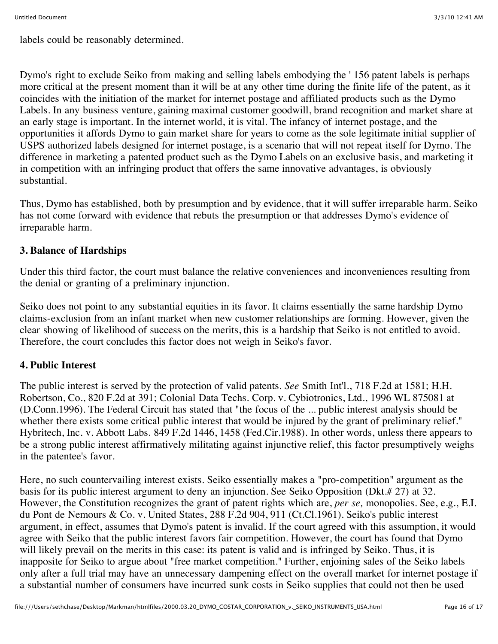labels could be reasonably determined.

Dymo's right to exclude Seiko from making and selling labels embodying the ' 156 patent labels is perhaps more critical at the present moment than it will be at any other time during the finite life of the patent, as it coincides with the initiation of the market for internet postage and affiliated products such as the Dymo Labels. In any business venture, gaining maximal customer goodwill, brand recognition and market share at an early stage is important. In the internet world, it is vital. The infancy of internet postage, and the opportunities it affords Dymo to gain market share for years to come as the sole legitimate initial supplier of USPS authorized labels designed for internet postage, is a scenario that will not repeat itself for Dymo. The difference in marketing a patented product such as the Dymo Labels on an exclusive basis, and marketing it in competition with an infringing product that offers the same innovative advantages, is obviously substantial.

Thus, Dymo has established, both by presumption and by evidence, that it will suffer irreparable harm. Seiko has not come forward with evidence that rebuts the presumption or that addresses Dymo's evidence of irreparable harm.

### **3. Balance of Hardships**

Under this third factor, the court must balance the relative conveniences and inconveniences resulting from the denial or granting of a preliminary injunction.

Seiko does not point to any substantial equities in its favor. It claims essentially the same hardship Dymo claims-exclusion from an infant market when new customer relationships are forming. However, given the clear showing of likelihood of success on the merits, this is a hardship that Seiko is not entitled to avoid. Therefore, the court concludes this factor does not weigh in Seiko's favor.

### **4. Public Interest**

The public interest is served by the protection of valid patents. *See* Smith Int'l., 718 F.2d at 1581; H.H. Robertson, Co., 820 F.2d at 391; Colonial Data Techs. Corp. v. Cybiotronics, Ltd., 1996 WL 875081 at (D.Conn.1996). The Federal Circuit has stated that "the focus of the ... public interest analysis should be whether there exists some critical public interest that would be injured by the grant of preliminary relief." Hybritech, Inc. v. Abbott Labs. 849 F.2d 1446, 1458 (Fed.Cir.1988). In other words, unless there appears to be a strong public interest affirmatively militating against injunctive relief, this factor presumptively weighs in the patentee's favor.

Here, no such countervailing interest exists. Seiko essentially makes a "pro-competition" argument as the basis for its public interest argument to deny an injunction. See Seiko Opposition (Dkt.# 27) at 32. However, the Constitution recognizes the grant of patent rights which are, *per se,* monopolies. See, e.g., E.I. du Pont de Nemours & Co. v. United States, 288 F.2d 904, 911 (Ct.Cl.1961). Seiko's public interest argument, in effect, assumes that Dymo's patent is invalid. If the court agreed with this assumption, it would agree with Seiko that the public interest favors fair competition. However, the court has found that Dymo will likely prevail on the merits in this case: its patent is valid and is infringed by Seiko. Thus, it is inapposite for Seiko to argue about "free market competition." Further, enjoining sales of the Seiko labels only after a full trial may have an unnecessary dampening effect on the overall market for internet postage if a substantial number of consumers have incurred sunk costs in Seiko supplies that could not then be used